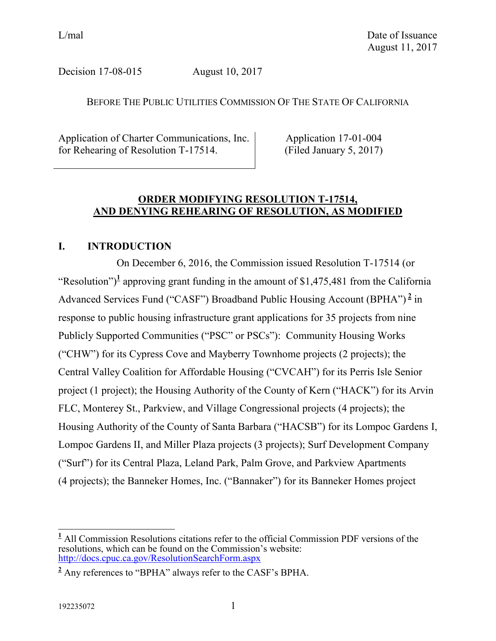Decision 17-08-015 August 10, 2017

### BEFORE THE PUBLIC UTILITIES COMMISSION OF THE STATE OF CALIFORNIA

Application of Charter Communications, Inc. for Rehearing of Resolution T-17514.

Application 17-01-004 (Filed January 5, 2017)

## **ORDER MODIFYING RESOLUTION T-17514, AND DENYING REHEARING OF RESOLUTION, AS MODIFIED**

# **I. INTRODUCTION**

On December 6, 2016, the Commission issued Resolution T-17514 (or "Resolution")<sup>1</sup> approving grant funding in the amount of \$1,475,481 from the California Advanced Services Fund ("CASF") Broadband Public Housing Account (BPHA") **<sup>2</sup>** in response to public housing infrastructure grant applications for 35 projects from nine Publicly Supported Communities ("PSC" or PSCs"): Community Housing Works ("CHW") for its Cypress Cove and Mayberry Townhome projects (2 projects); the Central Valley Coalition for Affordable Housing ("CVCAH") for its Perris Isle Senior project (1 project); the Housing Authority of the County of Kern ("HACK") for its Arvin FLC, Monterey St., Parkview, and Village Congressional projects (4 projects); the Housing Authority of the County of Santa Barbara ("HACSB") for its Lompoc Gardens I, Lompoc Gardens II, and Miller Plaza projects (3 projects); Surf Development Company ("Surf") for its Central Plaza, Leland Park, Palm Grove, and Parkview Apartments (4 projects); the Banneker Homes, Inc. ("Bannaker") for its Banneker Homes project

 $\overline{a}$ **<sup>1</sup>** All Commission Resolutions citations refer to the official Commission PDF versions of the resolutions, which can be found on the Commission's website: <http://docs.cpuc.ca.gov/ResolutionSearchForm.aspx>

**<sup>2</sup>** Any references to "BPHA" always refer to the CASF's BPHA.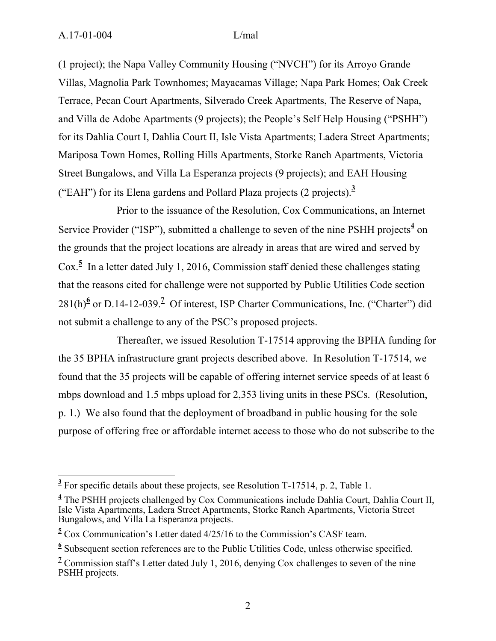(1 project); the Napa Valley Community Housing ("NVCH") for its Arroyo Grande Villas, Magnolia Park Townhomes; Mayacamas Village; Napa Park Homes; Oak Creek Terrace, Pecan Court Apartments, Silverado Creek Apartments, The Reserve of Napa, and Villa de Adobe Apartments (9 projects); the People's Self Help Housing ("PSHH") for its Dahlia Court I, Dahlia Court II, Isle Vista Apartments; Ladera Street Apartments; Mariposa Town Homes, Rolling Hills Apartments, Storke Ranch Apartments, Victoria Street Bungalows, and Villa La Esperanza projects (9 projects); and EAH Housing ("EAH") for its Elena gardens and Pollard Plaza projects (2 projects).**<sup>3</sup>**

Prior to the issuance of the Resolution, Cox Communications, an Internet Service Provider ("ISP"), submitted a challenge to seven of the nine PSHH projects<sup>4</sup> on the grounds that the project locations are already in areas that are wired and served by Cox.<sup>5</sup> In a letter dated July 1, 2016, Commission staff denied these challenges stating that the reasons cited for challenge were not supported by Public Utilities Code section 281(h)<sup>6</sup> or D.14-12-039.<sup>2</sup> Of interest, ISP Charter Communications, Inc. ("Charter") did not submit a challenge to any of the PSC's proposed projects.

Thereafter, we issued Resolution T-17514 approving the BPHA funding for the 35 BPHA infrastructure grant projects described above. In Resolution T-17514, we found that the 35 projects will be capable of offering internet service speeds of at least 6 mbps download and 1.5 mbps upload for 2,353 living units in these PSCs. (Resolution, p. 1.) We also found that the deployment of broadband in public housing for the sole purpose of offering free or affordable internet access to those who do not subscribe to the

<sup>&</sup>lt;sup>3</sup> For specific details about these projects, see Resolution T-17514, p. 2, Table 1.

**<sup>4</sup>** The PSHH projects challenged by Cox Communications include Dahlia Court, Dahlia Court II, Isle Vista Apartments, Ladera Street Apartments, Storke Ranch Apartments, Victoria Street Bungalows, and Villa La Esperanza projects.

**<sup>5</sup>** Cox Communication's Letter dated 4/25/16 to the Commission's CASF team.

<sup>&</sup>lt;sup>6</sup> Subsequent section references are to the Public Utilities Code, unless otherwise specified.

<sup>&</sup>lt;sup>7</sup> Commission staff's Letter dated July 1, 2016, denying Cox challenges to seven of the nine PSHH projects.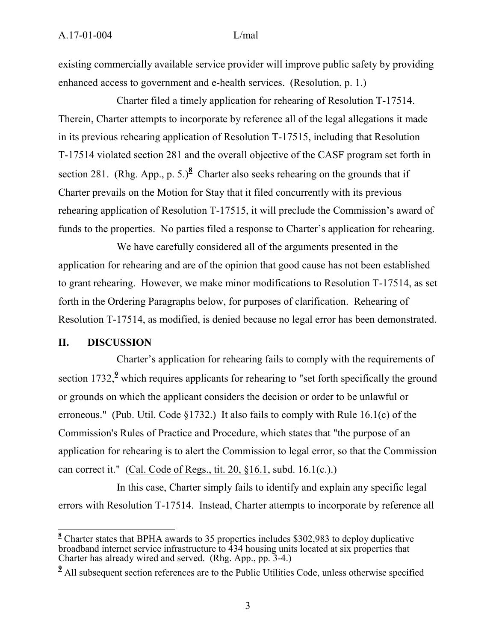existing commercially available service provider will improve public safety by providing enhanced access to government and e-health services. (Resolution, p. 1.)

Charter filed a timely application for rehearing of Resolution T-17514. Therein, Charter attempts to incorporate by reference all of the legal allegations it made in its previous rehearing application of Resolution T-17515, including that Resolution T-17514 violated section 281 and the overall objective of the CASF program set forth in section 281. (Rhg. App., p. 5.)<sup>8</sup> Charter also seeks rehearing on the grounds that if Charter prevails on the Motion for Stay that it filed concurrently with its previous rehearing application of Resolution T-17515, it will preclude the Commission's award of funds to the properties. No parties filed a response to Charter's application for rehearing.

We have carefully considered all of the arguments presented in the application for rehearing and are of the opinion that good cause has not been established to grant rehearing. However, we make minor modifications to Resolution T-17514, as set forth in the Ordering Paragraphs below, for purposes of clarification. Rehearing of Resolution T-17514, as modified, is denied because no legal error has been demonstrated.

### **II. DISCUSSION**

 $\overline{\phantom{a}}$ 

Charter's application for rehearing fails to comply with the requirements of [section 1732,](http://www.lexis.com/research/buttonTFLink?_m=8c5c2c5238b9d763517260cb0d8a0661&_xfercite=%3ccite%20cc%3d%22USA%22%3e%3c%21%5bCDATA%5b2016%20Cal.%20PUC%20LEXIS%2041%5d%5d%3e%3c%2fcite%3e&_butType=4&_butStat=0&_butNum=2&_butInline=1&_butinfo=CA%20PUB%20UTIL%201732&_fmtstr=FULL&docnum=2&_startdoc=1&wchp=dGLbVzB-zSkAb&_md5=fb0060f2e4a662da13c077292b74881b)<sup>9</sup> which requires applicants for rehearing to "set forth specifically the ground or grounds on which the applicant considers the decision or order to be unlawful or erroneous." (Pub. [Util. Code §1732.](http://www.lexis.com/research/buttonTFLink?_m=8c5c2c5238b9d763517260cb0d8a0661&_xfercite=%3ccite%20cc%3d%22USA%22%3e%3c%21%5bCDATA%5b2016%20Cal.%20PUC%20LEXIS%2041%5d%5d%3e%3c%2fcite%3e&_butType=4&_butStat=0&_butNum=3&_butInline=1&_butinfo=CA%20PUB%20UTIL%201732&_fmtstr=FULL&docnum=2&_startdoc=1&wchp=dGLbVzB-zSkAb&_md5=21147306e2807dac4d3c7b08917b44ae)) It also fails to comply with Rule 16.1(c) of the Commission's Rules of Practice and Procedure, which states that "the purpose of an application for rehearing is to alert the Commission to legal error, so that the Commission can correct it." [\(Cal. Code of Regs., tit. 20, §16.1,](http://www.lexis.com/research/buttonTFLink?_m=8c5c2c5238b9d763517260cb0d8a0661&_xfercite=%3ccite%20cc%3d%22USA%22%3e%3c%21%5bCDATA%5b2016%20Cal.%20PUC%20LEXIS%2041%5d%5d%3e%3c%2fcite%3e&_butType=4&_butStat=0&_butNum=4&_butInline=1&_butinfo=20%20CA%20ADMIN%2016.1&_fmtstr=FULL&docnum=2&_startdoc=1&wchp=dGLbVzB-zSkAb&_md5=dd79cd13b65087c6a333d4a524533f8d) subd. 16.1(c.).)

In this case, Charter simply fails to identify and explain any specific legal errors with Resolution T-17514. Instead, Charter attempts to incorporate by reference all

**<sup>8</sup>** Charter states that BPHA awards to 35 properties includes \$302,983 to deploy duplicative broadband internet service infrastructure to 434 housing units located at six properties that Charter has already wired and served. (Rhg. App., pp. 3-4.)

<sup>&</sup>lt;sup>2</sup> All subsequent section references are to the Public Utilities Code, unless otherwise specified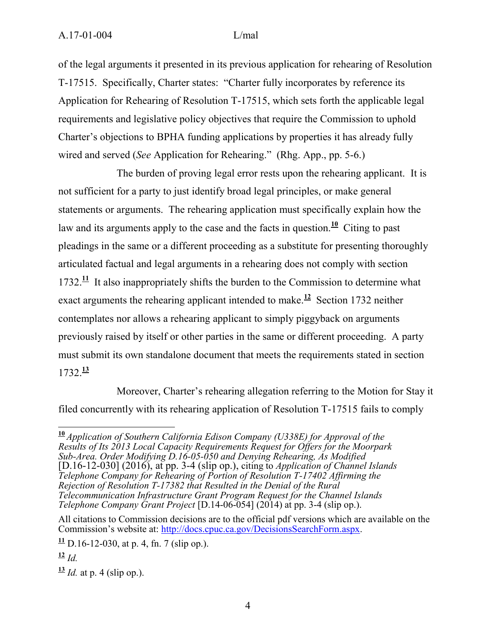of the legal arguments it presented in its previous application for rehearing of Resolution T-17515. Specifically, Charter states: "Charter fully incorporates by reference its Application for Rehearing of Resolution T-17515, which sets forth the applicable legal requirements and legislative policy objectives that require the Commission to uphold Charter's objections to BPHA funding applications by properties it has already fully wired and served (*See* Application for Rehearing." (Rhg. App., pp. 5-6.)

The burden of proving legal error rests upon the rehearing applicant. It is not sufficient for a party to just identify broad legal principles, or make general statements or arguments. The rehearing application must specifically explain how the law and its arguments apply to the case and the facts in question.<sup>10</sup> Citing to past pleadings in the same or a different proceeding as a substitute for presenting thoroughly articulated factual and legal arguments in a rehearing does not comply with section 1732. $\frac{11}{11}$  It also inappropriately shifts the burden to the Commission to determine what exact arguments the rehearing applicant intended to make.<sup>12</sup> Section 1732 neither contemplates nor allows a rehearing applicant to simply piggyback on arguments previously raised by itself or other parties in the same or different proceeding. A party must submit its own standalone document that meets the requirements stated in section 1732.**<sup>13</sup>**

Moreover, Charter's rehearing allegation referring to the Motion for Stay it filed concurrently with its rehearing application of Resolution T-17515 fails to comply

 $\overline{a}$ 

**<sup>10</sup>** *Application of Southern California Edison Company (U338E) for Approval of the Results of Its 2013 Local Capacity Requirements Request for Offers for the Moorpark Sub-Area. Order Modifying D.16-05-050 and Denying Rehearing, As Modified* [D.16-12-030] (2016), at pp. 3-4 (slip op.), citing to *Application of Channel Islands Telephone Company for Rehearing of Portion of Resolution T-17402 Affirming the Rejection of Resolution T-17382 that Resulted in the Denial of the Rural Telecommunication Infrastructure Grant Program Request for the Channel Islands Telephone Company Grant Project* [D.14-06-054] (2014) at pp. 3-4 (slip op.).

All citations to Commission decisions are to the official pdf versions which are available on the Commission's website at: [http://docs.cpuc.ca.gov/DecisionsSearchForm.aspx.](http://docs.cpuc.ca.gov/DecisionsSearchForm.aspx)

 $\frac{11}{11}$  D.16-12-030, at p. 4, fn. 7 (slip op.).

**<sup>12</sup>** *Id.*

 $\frac{13}{14}$  *Id.* at p. 4 (slip op.).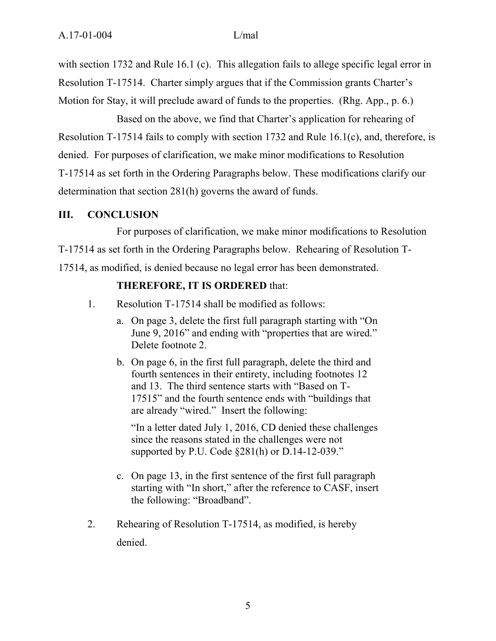with section 1732 and Rule 16.1 (c). This allegation fails to allege specific legal error in Resolution T-17514. Charter simply argues that if the Commission grants Charter's Motion for Stay, it will preclude award of funds to the properties. (Rhg. App., p. 6.)

Based on the above, we find that Charter's application for rehearing of Resolution T-17514 fails to comply with section 1732 and Rule 16.1(c), and, therefore, is denied. For purposes of clarification, we make minor modifications to Resolution T-17514 as set forth in the Ordering Paragraphs below. These modifications clarify our determination that section 281(h) governs the award of funds.

### **III. CONCLUSION**

For purposes of clarification, we make minor modifications to Resolution T-17514 as set forth in the Ordering Paragraphs below. Rehearing of Resolution T-17514, as modified, is denied because no legal error has been demonstrated.

## **THEREFORE, IT IS ORDERED** that:

- 1. Resolution T-17514 shall be modified as follows:
	- a. On page 3, delete the first full paragraph starting with "On June 9, 2016" and ending with "properties that are wired." Delete footnote 2.
	- b. On page 6, in the first full paragraph, delete the third and fourth sentences in their entirety, including footnotes 12 and 13. The third sentence starts with "Based on T-17515" and the fourth sentence ends with "buildings that are already "wired." Insert the following:

"In a letter dated July 1, 2016, CD denied these challenges since the reasons stated in the challenges were not supported by P.U. Code §281(h) or D.14-12-039."

- c. On page 13, in the first sentence of the first full paragraph starting with "In short," after the reference to CASF, insert the following: "Broadband".
- 2. Rehearing of Resolution T-17514, as modified, is hereby denied.